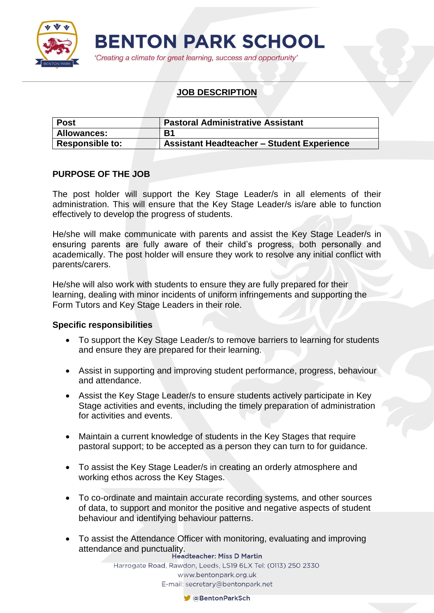

'Creating a climate for great learning, success and opportunity'

# **JOB DESCRIPTION**

| <b>Post</b>            | <b>Pastoral Administrative Assistant</b>          |  |
|------------------------|---------------------------------------------------|--|
| <b>Allowances:</b>     | B <sub>1</sub>                                    |  |
| <b>Responsible to:</b> | <b>Assistant Headteacher - Student Experience</b> |  |

# **PURPOSE OF THE JOB**

The post holder will support the Key Stage Leader/s in all elements of their administration. This will ensure that the Key Stage Leader/s is/are able to function effectively to develop the progress of students.

He/she will make communicate with parents and assist the Key Stage Leader/s in ensuring parents are fully aware of their child's progress, both personally and academically. The post holder will ensure they work to resolve any initial conflict with parents/carers.

He/she will also work with students to ensure they are fully prepared for their learning, dealing with minor incidents of uniform infringements and supporting the Form Tutors and Key Stage Leaders in their role.

### **Specific responsibilities**

- To support the Key Stage Leader/s to remove barriers to learning for students and ensure they are prepared for their learning.
- Assist in supporting and improving student performance, progress, behaviour and attendance.
- Assist the Key Stage Leader/s to ensure students actively participate in Key Stage activities and events, including the timely preparation of administration for activities and events.
- Maintain a current knowledge of students in the Key Stages that require pastoral support; to be accepted as a person they can turn to for guidance.
- To assist the Key Stage Leader/s in creating an orderly atmosphere and working ethos across the Key Stages.
- To co-ordinate and maintain accurate recording systems*,* and other sources of data, to support and monitor the positive and negative aspects of student behaviour and identifying behaviour patterns.
- To assist the Attendance Officer with monitoring, evaluating and improving attendance and punctuality.<br>Headteacher: Miss D Martin

Harrogate Road, Rawdon, Leeds, LS19 6LX Tel: (0113) 250 2330 www.bentonpark.org.uk E-mail: secretary@bentonpark.net

CaBentonParkSch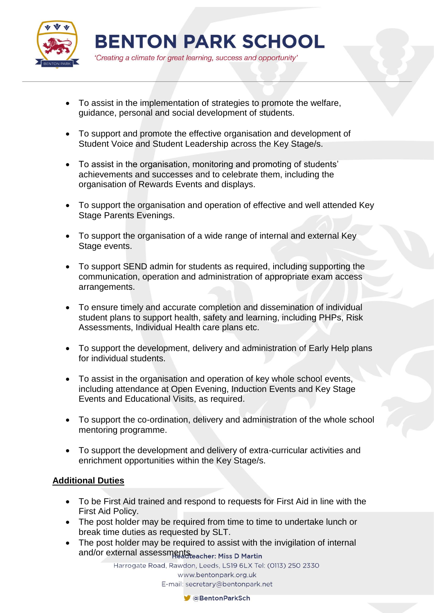

'Creating a climate for great learning, success and opportunity'

- To assist in the implementation of strategies to promote the welfare, guidance, personal and social development of students.
- To support and promote the effective organisation and development of Student Voice and Student Leadership across the Key Stage/s.
- To assist in the organisation, monitoring and promoting of students' achievements and successes and to celebrate them, including the organisation of Rewards Events and displays.
- To support the organisation and operation of effective and well attended Key Stage Parents Evenings.
- To support the organisation of a wide range of internal and external Key Stage events.
- To support SEND admin for students as required, including supporting the communication, operation and administration of appropriate exam access arrangements.
- To ensure timely and accurate completion and dissemination of individual student plans to support health, safety and learning, including PHPs, Risk Assessments, Individual Health care plans etc.
- To support the development, delivery and administration of Early Help plans for individual students.
- To assist in the organisation and operation of key whole school events, including attendance at Open Evening, Induction Events and Key Stage Events and Educational Visits, as required.
- To support the co-ordination, delivery and administration of the whole school mentoring programme.
- To support the development and delivery of extra-curricular activities and enrichment opportunities within the Key Stage/s.

# **Additional Duties**

- To be First Aid trained and respond to requests for First Aid in line with the First Aid Policy.
- The post holder may be required from time to time to undertake lunch or break time duties as requested by SLT.
- The post holder may be required to assist with the invigilation of internal and/or external assessments.

Harrogate Road, Rawdon, Leeds, LS19 6LX Tel: (0113) 250 2330 www.bentonpark.org.uk E-mail: secretary@bentonpark.net

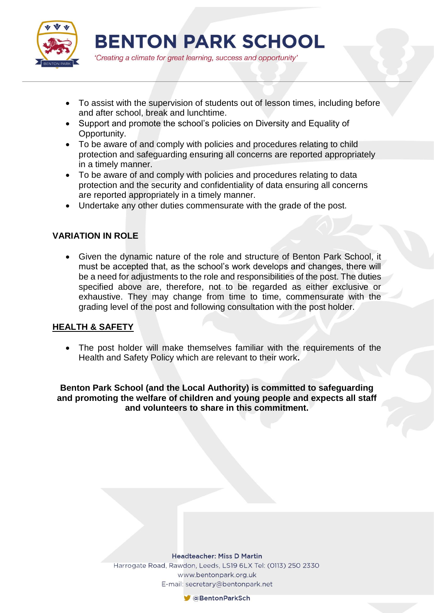

'Creating a climate for great learning, success and opportunity'

- To assist with the supervision of students out of lesson times, including before and after school, break and lunchtime.
- Support and promote the school's policies on Diversity and Equality of Opportunity.
- To be aware of and comply with policies and procedures relating to child protection and safeguarding ensuring all concerns are reported appropriately in a timely manner.
- To be aware of and comply with policies and procedures relating to data protection and the security and confidentiality of data ensuring all concerns are reported appropriately in a timely manner.
- Undertake any other duties commensurate with the grade of the post.

# **VARIATION IN ROLE**

 Given the dynamic nature of the role and structure of Benton Park School, it must be accepted that, as the school's work develops and changes, there will be a need for adjustments to the role and responsibilities of the post. The duties specified above are, therefore, not to be regarded as either exclusive or exhaustive. They may change from time to time, commensurate with the grading level of the post and following consultation with the post holder.

# **HEALTH & SAFETY**

 The post holder will make themselves familiar with the requirements of the Health and Safety Policy which are relevant to their work**.**

**Benton Park School (and the Local Authority) is committed to safeguarding and promoting the welfare of children and young people and expects all staff and volunteers to share in this commitment.**

#### **Headteacher: Miss D Martin** Harrogate Road, Rawdon, Leeds, LS19 6LX Tel: (0113) 250 2330

www.bentonpark.org.uk E-mail: secretary@bentonpark.net

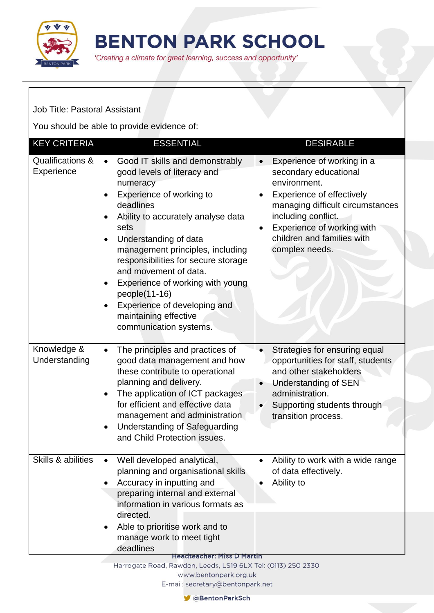

'Creating a climate for great learning, success and opportunity'

Job Title: Pastoral Assistant

You should be able to provide evidence of:

| <b>KEY CRITERIA</b>            | <b>ESSENTIAL</b>                                                                                                                                                                                                                                                                                                                                                                                                                                                                                        | <b>DESIRABLE</b>                                                                                                                                                                                                                                                           |
|--------------------------------|---------------------------------------------------------------------------------------------------------------------------------------------------------------------------------------------------------------------------------------------------------------------------------------------------------------------------------------------------------------------------------------------------------------------------------------------------------------------------------------------------------|----------------------------------------------------------------------------------------------------------------------------------------------------------------------------------------------------------------------------------------------------------------------------|
| Qualifications &<br>Experience | Good IT skills and demonstrably<br>$\bullet$<br>good levels of literacy and<br>numeracy<br>Experience of working to<br>$\bullet$<br>deadlines<br>Ability to accurately analyse data<br>sets<br>Understanding of data<br>$\bullet$<br>management principles, including<br>responsibilities for secure storage<br>and movement of data.<br>Experience of working with young<br>$\bullet$<br>people(11-16)<br>Experience of developing and<br>$\bullet$<br>maintaining effective<br>communication systems. | Experience of working in a<br>$\bullet$<br>secondary educational<br>environment.<br><b>Experience of effectively</b><br>managing difficult circumstances<br>including conflict.<br>Experience of working with<br>$\bullet$<br>children and families with<br>complex needs. |
| Knowledge &<br>Understanding   | The principles and practices of<br>$\bullet$<br>good data management and how<br>these contribute to operational<br>planning and delivery.<br>The application of ICT packages<br>$\bullet$<br>for efficient and effective data<br>management and administration<br><b>Understanding of Safeguarding</b><br>$\bullet$<br>and Child Protection issues.                                                                                                                                                     | Strategies for ensuring equal<br>$\bullet$<br>opportunities for staff, students<br>and other stakeholders<br><b>Understanding of SEN</b><br>$\bullet$<br>administration.<br>Supporting students through<br>transition process.                                             |
| Skills & abilities             | Well developed analytical,<br>planning and organisational skills<br>Accuracy in inputting and<br>preparing internal and external<br>information in various formats as<br>directed.<br>Able to prioritise work and to<br>٠<br>manage work to meet tight<br>deadlines                                                                                                                                                                                                                                     | Ability to work with a wide range<br>of data effectively.<br>Ability to                                                                                                                                                                                                    |

**Headteacher: Miss D Martin** 

Harrogate Road, Rawdon, Leeds, LS19 6LX Tel: (0113) 250 2330 www.bentonpark.org.uk

E-mail: secretary@bentonpark.net

**C**BentonParkSch